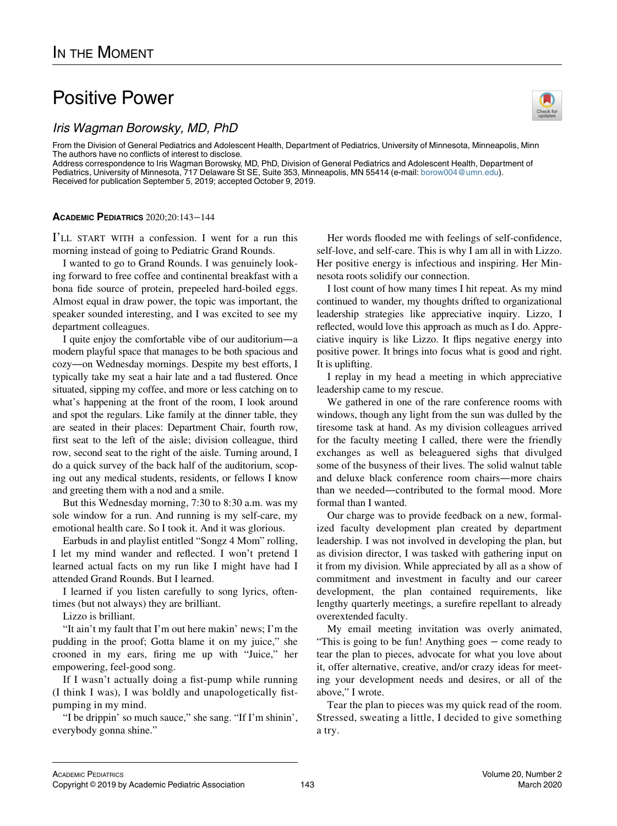## Positive Power

From the Division of General Pediatrics and Adolescent Health, Department of Pediatrics, University of Minnesota, Minneapolis, Minn The authors have no conflicts of interest to disclose.

Address correspondence to Iris Wagman Borowsky, MD, PhD, Division of General Pediatrics and Adolescent Health, Department of Pediatrics, University of Minnesota, 717 Delaware St SE, Suite 353, Minneapolis, MN 55414 (e-mail: [borow004@umn.edu\)](mailto:borow004@umn.edu). Received for publication September 5, 2019; accepted October 9, 2019.

## ACADEMIC PEDIATRICS 2020;20:143−144

I'LL START WITH a confession. I went for a run this morning instead of going to Pediatric Grand Rounds.

I wanted to go to Grand Rounds. I was genuinely looking forward to free coffee and continental breakfast with a bona fide source of protein, prepeeled hard-boiled eggs. Almost equal in draw power, the topic was important, the speaker sounded interesting, and I was excited to see my department colleagues.

I quite enjoy the comfortable vibe of our auditorium—a modern playful space that manages to be both spacious and cozy—on Wednesday mornings. Despite my best efforts, I typically take my seat a hair late and a tad flustered. Once situated, sipping my coffee, and more or less catching on to what's happening at the front of the room, I look around and spot the regulars. Like family at the dinner table, they are seated in their places: Department Chair, fourth row, first seat to the left of the aisle; division colleague, third row, second seat to the right of the aisle. Turning around, I do a quick survey of the back half of the auditorium, scoping out any medical students, residents, or fellows I know and greeting them with a nod and a smile.

But this Wednesday morning, 7:30 to 8:30 a.m. was my sole window for a run. And running is my self-care, my emotional health care. So I took it. And it was glorious.

Earbuds in and playlist entitled "Songz 4 Mom" rolling, I let my mind wander and reflected. I won't pretend I learned actual facts on my run like I might have had I attended Grand Rounds. But I learned.

I learned if you listen carefully to song lyrics, oftentimes (but not always) they are brilliant.

Lizzo is brilliant.

"It ain't my fault that I'm out here makin' news; I'm the pudding in the proof; Gotta blame it on my juice," she crooned in my ears, firing me up with "Juice," her empowering, feel-good song.

If I wasn't actually doing a fist-pump while running (I think I was), I was boldly and unapologetically fistpumping in my mind.

"I be drippin' so much sauce," she sang. "If I'm shinin', everybody gonna shine."

Her words flooded me with feelings of self-confidence, self-love, and self-care. This is why I am all in with Lizzo. Her positive energy is infectious and inspiring. Her Minnesota roots solidify our connection.

I lost count of how many times I hit repeat. As my mind continued to wander, my thoughts drifted to organizational leadership strategies like appreciative inquiry. Lizzo, I reflected, would love this approach as much as I do. Appreciative inquiry is like Lizzo. It flips negative energy into positive power. It brings into focus what is good and right. It is uplifting.

I replay in my head a meeting in which appreciative leadership came to my rescue.

We gathered in one of the rare conference rooms with windows, though any light from the sun was dulled by the tiresome task at hand. As my division colleagues arrived for the faculty meeting I called, there were the friendly exchanges as well as beleaguered sighs that divulged some of the busyness of their lives. The solid walnut table and deluxe black conference room chairs—more chairs than we needed—contributed to the formal mood. More formal than I wanted.

Our charge was to provide feedback on a new, formalized faculty development plan created by department leadership. I was not involved in developing the plan, but as division director, I was tasked with gathering input on it from my division. While appreciated by all as a show of commitment and investment in faculty and our career development, the plan contained requirements, like lengthy quarterly meetings, a surefire repellant to already overextended faculty.

My email meeting invitation was overly animated, "This is going to be fun! Anything goes − come ready to tear the plan to pieces, advocate for what you love about it, offer alternative, creative, and/or crazy ideas for meeting your development needs and desires, or all of the above," I wrote.

Tear the plan to pieces was my quick read of the room. Stressed, sweating a little, I decided to give something a try.